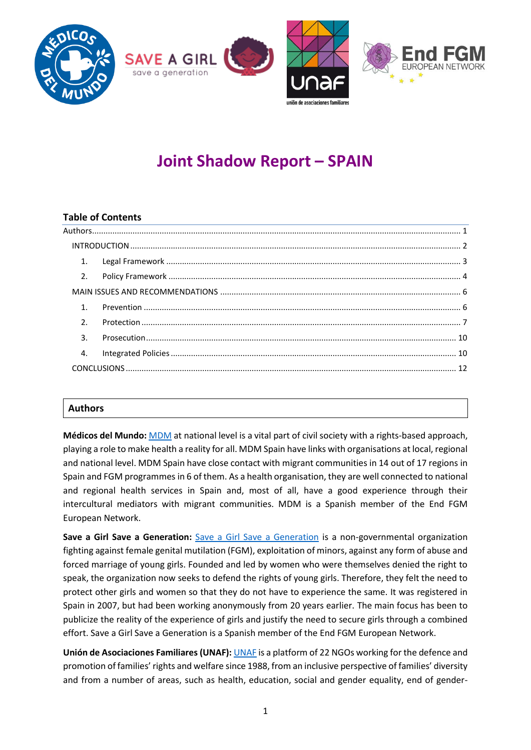

# **Joint Shadow Report – SPAIN**

## **Table of Contents**

|  | 1.               |  |  |  |
|--|------------------|--|--|--|
|  | 2.               |  |  |  |
|  |                  |  |  |  |
|  | 1 <sup>1</sup>   |  |  |  |
|  | $\mathfrak{D}$ . |  |  |  |
|  | $\mathbf{3}$ .   |  |  |  |
|  | $\overline{4}$ . |  |  |  |
|  |                  |  |  |  |
|  |                  |  |  |  |

# <span id="page-0-0"></span>**Authors**

**Médicos del Mundo:** [MDM](https://www.medicosdelmundo.org/) at national level is a vital part of civil society with a rights-based approach, playing a role to make health a reality for all. MDM Spain have links with organisations at local, regional and national level. MDM Spain have close contact with migrant communities in 14 out of 17 regions in Spain and FGM programmes in 6 of them. As a health organisation, they are well connected to national and regional health services in Spain and, most of all, have a good experience through their intercultural mediators with migrant communities. MDM is a Spanish member of the End FGM European Network.

**Save a Girl Save a Generation:** [Save a Girl Save a Generation](https://www.saveagirlsaveageneration.org/) is a non-governmental organization fighting against female genital mutilation (FGM), exploitation of minors, against any form of abuse and forced marriage of young girls. Founded and led by women who were themselves denied the right to speak, the organization now seeks to defend the rights of young girls. Therefore, they felt the need to protect other girls and women so that they do not have to experience the same. It was registered in Spain in 2007, but had been working anonymously from 20 years earlier. The main focus has been to publicize the reality of the experience of girls and justify the need to secure girls through a combined effort. Save a Girl Save a Generation is a Spanish member of the End FGM European Network.

**Unión de Asociaciones Familiares (UNAF):** [UNAF](http://www.stopmutilacion.org/) is a platform of 22 NGOs working for the defence and promotion of families' rights and welfare since 1988, from an inclusive perspective of families' diversity and from a number of areas, such as health, education, social and gender equality, end of gender-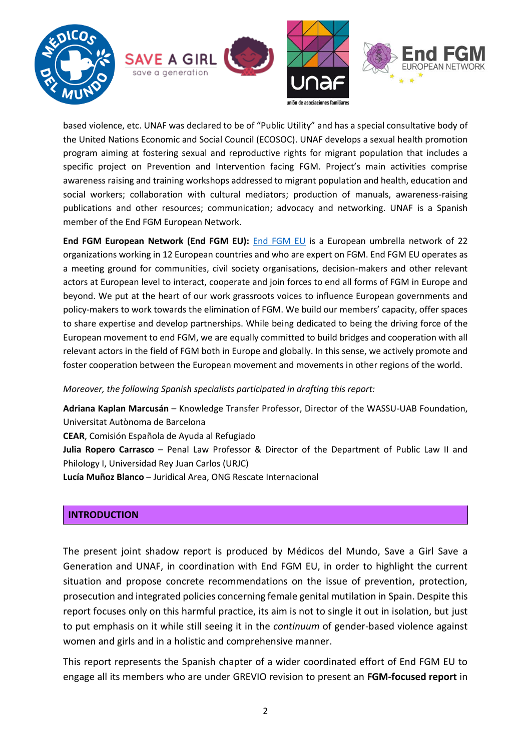

based violence, etc. UNAF was declared to be of "Public Utility" and has a special consultative body of the United Nations Economic and Social Council (ECOSOC). UNAF develops a sexual health promotion program aiming at fostering sexual and reproductive rights for migrant population that includes a specific project on Prevention and Intervention facing FGM. Project's main activities comprise awareness raising and training workshops addressed to migrant population and health, education and social workers; collaboration with cultural mediators; production of manuals, awareness-raising publications and other resources; communication; advocacy and networking. UNAF is a Spanish member of the End FGM European Network.

**End FGM European Network (End FGM EU):** [End FGM EU](http://www.endfgm.eu/) is a European umbrella network of 22 organizations working in 12 European countries and who are expert on FGM. End FGM EU operates as a meeting ground for communities, civil society organisations, decision-makers and other relevant actors at European level to interact, cooperate and join forces to end all forms of FGM in Europe and beyond. We put at the heart of our work grassroots voices to influence European governments and policy-makers to work towards the elimination of FGM. We build our members' capacity, offer spaces to share expertise and develop partnerships. While being dedicated to being the driving force of the European movement to end FGM, we are equally committed to build bridges and cooperation with all relevant actors in the field of FGM both in Europe and globally. In this sense, we actively promote and foster cooperation between the European movement and movements in other regions of the world.

*Moreover, the following Spanish specialists participated in drafting this report:*

**Adriana Kaplan Marcusán** – Knowledge Transfer Professor, Director of the WASSU-UAB Foundation, Universitat Autònoma de Barcelona **CEAR**, Comisión Española de Ayuda al Refugiado

**Julia Ropero Carrasco** – Penal Law Professor & Director of the Department of Public Law II and Philology I, Universidad Rey Juan Carlos (URJC)

**Lucía Muñoz Blanco** – Juridical Area, ONG Rescate Internacional

#### <span id="page-1-0"></span>**INTRODUCTION**

The present joint shadow report is produced by Médicos del Mundo, Save a Girl Save a Generation and UNAF, in coordination with End FGM EU, in order to highlight the current situation and propose concrete recommendations on the issue of prevention, protection, prosecution and integrated policies concerning female genital mutilation in Spain. Despite this report focuses only on this harmful practice, its aim is not to single it out in isolation, but just to put emphasis on it while still seeing it in the *continuum* of gender-based violence against women and girls and in a holistic and comprehensive manner.

This report represents the Spanish chapter of a wider coordinated effort of End FGM EU to engage all its members who are under GREVIO revision to present an **FGM-focused report** in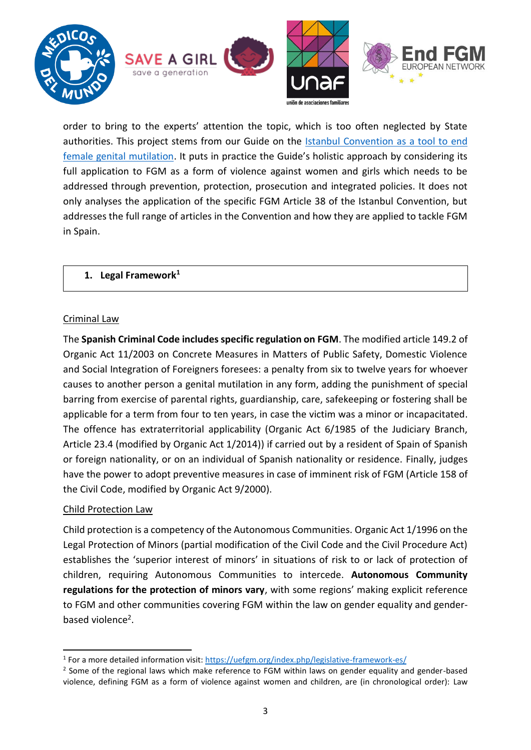

order to bring to the experts' attention the topic, which is too often neglected by State authorities. This project stems from our Guide on the [Istanbul Convention as a tool to end](http://www.endfgm.eu/editor/files/2016/01/IstanbulConventionFGMguide_FINAL_ENGLISH.pdf)  [female genital mutilation.](http://www.endfgm.eu/editor/files/2016/01/IstanbulConventionFGMguide_FINAL_ENGLISH.pdf) It puts in practice the Guide's holistic approach by considering its full application to FGM as a form of violence against women and girls which needs to be addressed through prevention, protection, prosecution and integrated policies. It does not only analyses the application of the specific FGM Article 38 of the Istanbul Convention, but addresses the full range of articles in the Convention and how they are applied to tackle FGM in Spain.

## <span id="page-2-0"></span>**1. Legal Framework<sup>1</sup>**

## Criminal Law

The **Spanish Criminal Code includes specific regulation on FGM**. The modified article 149.2 of Organic Act 11/2003 on Concrete Measures in Matters of Public Safety, Domestic Violence and Social Integration of Foreigners foresees: a penalty from six to twelve years for whoever causes to another person a genital mutilation in any form, adding the punishment of special barring from exercise of parental rights, guardianship, care, safekeeping or fostering shall be applicable for a term from four to ten years, in case the victim was a minor or incapacitated. The offence has extraterritorial applicability (Organic Act 6/1985 of the Judiciary Branch, Article 23.4 (modified by Organic Act 1/2014)) if carried out by a resident of Spain of Spanish or foreign nationality, or on an individual of Spanish nationality or residence. Finally, judges have the power to adopt preventive measures in case of imminent risk of FGM (Article 158 of the Civil Code, modified by Organic Act 9/2000).

# Child Protection Law

**.** 

Child protection is a competency of the Autonomous Communities. Organic Act 1/1996 on the Legal Protection of Minors (partial modification of the Civil Code and the Civil Procedure Act) establishes the 'superior interest of minors' in situations of risk to or lack of protection of children, requiring Autonomous Communities to intercede. **Autonomous Community regulations for the protection of minors vary**, with some regions' making explicit reference to FGM and other communities covering FGM within the law on gender equality and genderbased violence<sup>2</sup>.

<sup>&</sup>lt;sup>1</sup> For a more detailed information visit: https://uefgm.org/index.php/legislative-framework-es/

<sup>&</sup>lt;sup>2</sup> Some of the regional laws which make reference to FGM within laws on gender equality and gender-based violence, defining FGM as a form of violence against women and children, are (in chronological order): Law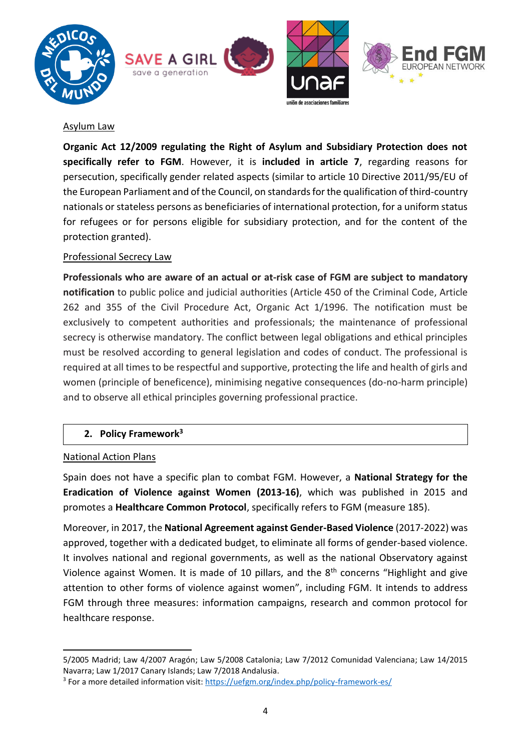

#### Asylum Law

**Organic Act 12/2009 regulating the Right of Asylum and Subsidiary Protection does not specifically refer to FGM**. However, it is **included in article 7**, regarding reasons for persecution, specifically gender related aspects (similar to article 10 Directive 2011/95/EU of the European Parliament and of the Council, on standards for the qualification of third-country nationals or stateless persons as beneficiaries of international protection, for a uniform status for refugees or for persons eligible for subsidiary protection, and for the content of the protection granted).

#### Professional Secrecy Law

**Professionals who are aware of an actual or at-risk case of FGM are subject to mandatory notification** to public police and judicial authorities (Article 450 of the Criminal Code, Article 262 and 355 of the Civil Procedure Act, Organic Act 1/1996. The notification must be exclusively to competent authorities and professionals; the maintenance of professional secrecy is otherwise mandatory. The conflict between legal obligations and ethical principles must be resolved according to general legislation and codes of conduct. The professional is required at all times to be respectful and supportive, protecting the life and health of girls and women (principle of beneficence), minimising negative consequences (do-no-harm principle) and to observe all ethical principles governing professional practice.

#### <span id="page-3-0"></span>**2. Policy Framework<sup>3</sup>**

#### National Action Plans

**.** 

Spain does not have a specific plan to combat FGM. However, a **National Strategy for the Eradication of Violence against Women (2013-16)**, which was published in 2015 and promotes a **Healthcare Common Protocol**, specifically refers to FGM (measure 185).

Moreover, in 2017, the **National Agreement against Gender-Based Violence** (2017-2022) was approved, together with a dedicated budget, to eliminate all forms of gender-based violence. It involves national and regional governments, as well as the national Observatory against Violence against Women. It is made of 10 pillars, and the 8<sup>th</sup> concerns "Highlight and give attention to other forms of violence against women", including FGM. It intends to address FGM through three measures: information campaigns, research and common protocol for healthcare response.

<sup>5/2005</sup> Madrid; Law 4/2007 Aragón; Law 5/2008 Catalonia; Law 7/2012 Comunidad Valenciana; Law 14/2015 Navarra; Law 1/2017 Canary Islands; Law 7/2018 Andalusia.

<sup>&</sup>lt;sup>3</sup> For a more detailed information visit:<https://uefgm.org/index.php/policy-framework-es/>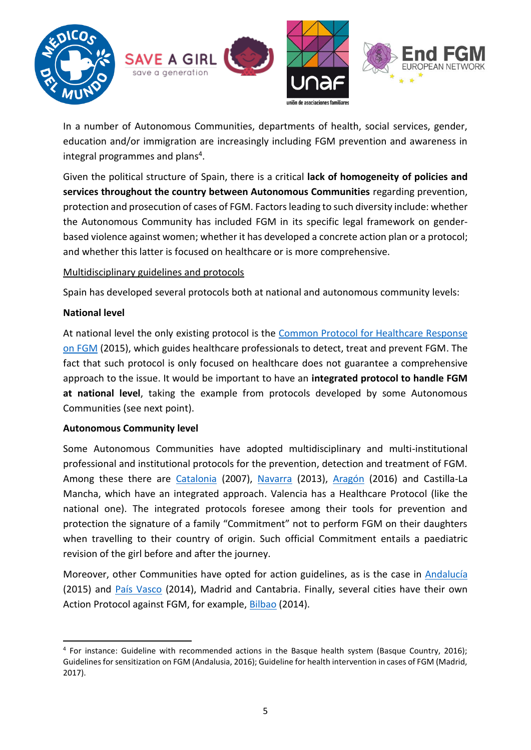

In a number of Autonomous Communities, departments of health, social services, gender, education and/or immigration are increasingly including FGM prevention and awareness in integral programmes and plans<sup>4</sup>.

Given the political structure of Spain, there is a critical **lack of homogeneity of policies and services throughout the country between Autonomous Communities** regarding prevention, protection and prosecution of cases of FGM. Factors leading to such diversity include: whether the Autonomous Community has included FGM in its specific legal framework on genderbased violence against women; whether it has developed a concrete action plan or a protocol; and whether this latter is focused on healthcare or is more comprehensive.

# Multidisciplinary guidelines and protocols

Spain has developed several protocols both at national and autonomous community levels:

## **National level**

**.** 

At national level the only existing protocol is the [Common Protocol for](http://www.msssi.gob.es/organizacion/sns/%20planCalidadSNS/introProtocoloComun2015.htm) Healthcare Response on FGM (2015), which guides healthcare professionals to detect, treat and prevent FGM. The fact that such protocol is only focused on healthcare does not guarantee a comprehensive approach to the issue. It would be important to have an **integrated protocol to handle FGM at national level**, taking the example from protocols developed by some Autonomous Communities (see next point).

# **Autonomous Community level**

Some Autonomous Communities have adopted multidisciplinary and multi-institutional professional and institutional protocols for the prevention, detection and treatment of FGM. Among these there are [Catalonia](http://www.violenciagenero.msssi.gob.es/otrasFormas/mutilacion/%20protocolos/protocolo/pdf/cataluna_2007.pdf) (2007), [Navarra](http://www.violenciagenero.msssi.gob.es/otrasFormas/mutilacion/%20protocolos/protocolo/pdf/navarra_2013.pdf) (2013), [Aragón](http://www.violenciagenero.msssi.gob.es/otrasFormas/mutilacion/%20protocolos/protocolo/pdf/ARAGon2016.pdf) (2016) and Castilla-La Mancha, which have an integrated approach. Valencia has a Healthcare Protocol (like the national one). The integrated protocols foresee among their tools for prevention and protection the signature of a family "Commitment" not to perform FGM on their daughters when travelling to their country of origin. Such official Commitment entails a paediatric revision of the girl before and after the journey.

Moreover, other Communities have opted for action guidelines, as is the case in [Andalucía](http://www.juntadeandalucia.es/salud/export/sites/csalud/%20galerias/documentos/c_1_c_6_planes_estrategias/protocolo_mgf_2015/mutilacion_%20genital_femenina_2015.pdf) (2015) and [País Vasco](http://www.avpap.org/documentos/varios/MGF.pdf) (2014), Madrid and Cantabria. Finally, several cities have their own Action Protocol against FGM, for example, [Bilbao](http://www.avpap.org/documentos/varios/MGF.pdf) (2014).

<sup>&</sup>lt;sup>4</sup> For instance: Guideline with recommended actions in the Basque health system (Basque Country, 2016); Guidelines for sensitization on FGM (Andalusia, 2016); Guideline for health intervention in cases of FGM (Madrid, 2017).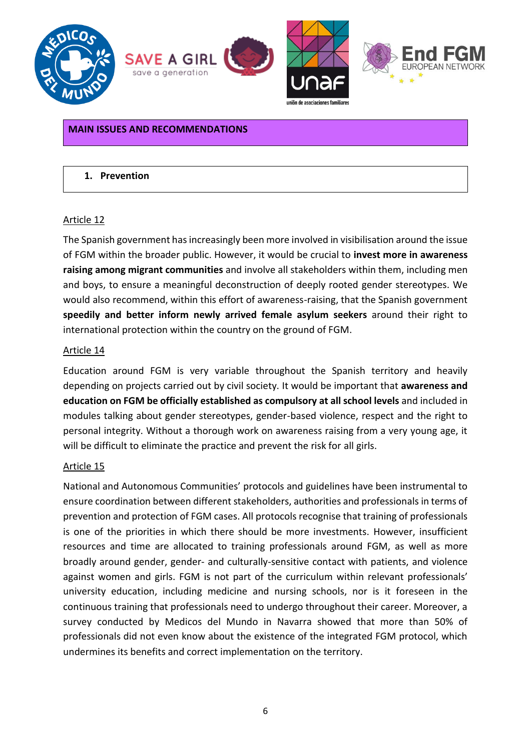

#### <span id="page-5-0"></span>**MAIN ISSUES AND RECOMMENDATIONS**

#### <span id="page-5-1"></span>**1. Prevention**

#### Article 12

The Spanish government has increasingly been more involved in visibilisation around the issue of FGM within the broader public. However, it would be crucial to **invest more in awareness raising among migrant communities** and involve all stakeholders within them, including men and boys, to ensure a meaningful deconstruction of deeply rooted gender stereotypes. We would also recommend, within this effort of awareness-raising, that the Spanish government **speedily and better inform newly arrived female asylum seekers** around their right to international protection within the country on the ground of FGM.

#### Article 14

Education around FGM is very variable throughout the Spanish territory and heavily depending on projects carried out by civil society. It would be important that **awareness and education on FGM be officially established as compulsory at all school levels** and included in modules talking about gender stereotypes, gender-based violence, respect and the right to personal integrity. Without a thorough work on awareness raising from a very young age, it will be difficult to eliminate the practice and prevent the risk for all girls.

#### Article 15

National and Autonomous Communities' protocols and guidelines have been instrumental to ensure coordination between different stakeholders, authorities and professionals in terms of prevention and protection of FGM cases. All protocols recognise that training of professionals is one of the priorities in which there should be more investments. However, insufficient resources and time are allocated to training professionals around FGM, as well as more broadly around gender, gender- and culturally-sensitive contact with patients, and violence against women and girls. FGM is not part of the curriculum within relevant professionals' university education, including medicine and nursing schools, nor is it foreseen in the continuous training that professionals need to undergo throughout their career. Moreover, a survey conducted by Medicos del Mundo in Navarra showed that more than 50% of professionals did not even know about the existence of the integrated FGM protocol, which undermines its benefits and correct implementation on the territory.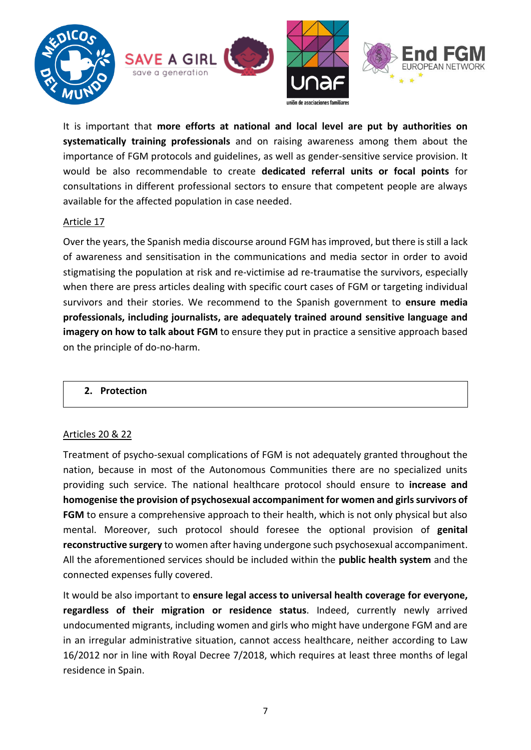

It is important that **more efforts at national and local level are put by authorities on systematically training professionals** and on raising awareness among them about the importance of FGM protocols and guidelines, as well as gender-sensitive service provision. It would be also recommendable to create **dedicated referral units or focal points** for consultations in different professional sectors to ensure that competent people are always available for the affected population in case needed.

## Article 17

Over the years, the Spanish media discourse around FGM has improved, but there is still a lack of awareness and sensitisation in the communications and media sector in order to avoid stigmatising the population at risk and re-victimise ad re-traumatise the survivors, especially when there are press articles dealing with specific court cases of FGM or targeting individual survivors and their stories. We recommend to the Spanish government to **ensure media professionals, including journalists, are adequately trained around sensitive language and imagery on how to talk about FGM** to ensure they put in practice a sensitive approach based on the principle of do-no-harm.

# <span id="page-6-0"></span>**2. Protection**

#### Articles 20 & 22

Treatment of psycho-sexual complications of FGM is not adequately granted throughout the nation, because in most of the Autonomous Communities there are no specialized units providing such service. The national healthcare protocol should ensure to **increase and homogenise the provision of psychosexual accompaniment for women and girls survivors of FGM** to ensure a comprehensive approach to their health, which is not only physical but also mental. Moreover, such protocol should foresee the optional provision of **genital reconstructive surgery** to women after having undergone such psychosexual accompaniment. All the aforementioned services should be included within the **public health system** and the connected expenses fully covered.

It would be also important to **ensure legal access to universal health coverage for everyone, regardless of their migration or residence status**. Indeed, currently newly arrived undocumented migrants, including women and girls who might have undergone FGM and are in an irregular administrative situation, cannot access healthcare, neither according to Law 16/2012 nor in line with Royal Decree 7/2018, which requires at least three months of legal residence in Spain.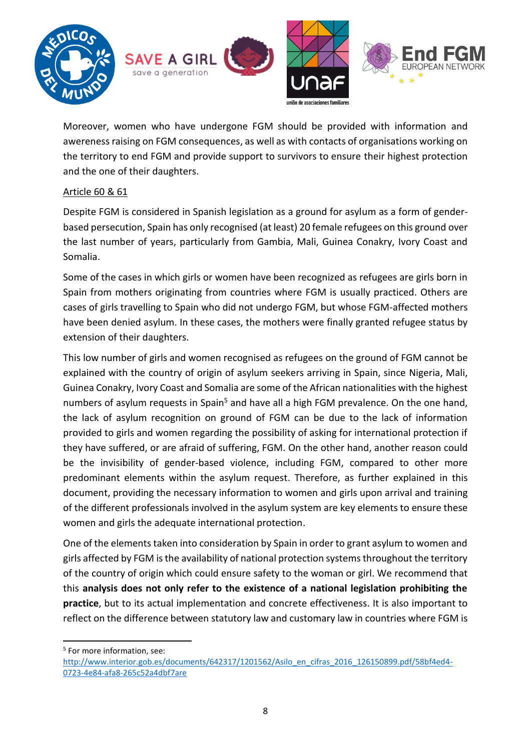

Moreover, women who have undergone FGM should be provided with information and awereness raising on FGM consequences, as well as with contacts of organisations working on the territory to end FGM and provide support to survivors to ensure their highest protection and the one of their daughters.

# Article 60 & 61

Despite FGM is considered in Spanish legislation as a ground for asylum as a form of genderbased persecution, Spain has only recognised (at least) 20 female refugees on this ground over the last number of years, particularly from Gambia, Mali, Guinea Conakry, Ivory Coast and Somalia.

Some of the cases in which girls or women have been recognized as refugees are girls born in Spain from mothers originating from countries where FGM is usually practiced. Others are cases of girls travelling to Spain who did not undergo FGM, but whose FGM-affected mothers have been denied asylum. In these cases, the mothers were finally granted refugee status by extension of their daughters.

This low number of girls and women recognised as refugees on the ground of FGM cannot be explained with the country of origin of asylum seekers arriving in Spain, since Nigeria, Mali, Guinea Conakry, Ivory Coast and Somalia are some of the African nationalities with the highest numbers of asylum requests in Spain<sup>5</sup> and have all a high FGM prevalence. On the one hand, the lack of asylum recognition on ground of FGM can be due to the lack of information provided to girls and women regarding the possibility of asking for international protection if they have suffered, or are afraid of suffering, FGM. On the other hand, another reason could be the invisibility of gender-based violence, including FGM, compared to other more predominant elements within the asylum request. Therefore, as further explained in this document, providing the necessary information to women and girls upon arrival and training of the different professionals involved in the asylum system are key elements to ensure these women and girls the adequate international protection.

One of the elements taken into consideration by Spain in order to grant asylum to women and girls affected by FGM is the availability of national protection systems throughout the territory of the country of origin which could ensure safety to the woman or girl. We recommend that this **analysis does not only refer to the existence of a national legislation prohibiting the practice**, but to its actual implementation and concrete effectiveness. It is also important to reflect on the difference between statutory law and customary law in countries where FGM is

**<sup>.</sup>** 5 For more information, see:

[http://www.interior.gob.es/documents/642317/1201562/Asilo\\_en\\_cifras\\_2016\\_126150899.pdf/58bf4ed4-](http://www.interior.gob.es/documents/642317/1201562/Asilo_en_cifras_2016_126150899.pdf/58bf4ed4-0723-4e84-afa8-265c52a4dbf7are) [0723-4e84-afa8-265c52a4dbf7are](http://www.interior.gob.es/documents/642317/1201562/Asilo_en_cifras_2016_126150899.pdf/58bf4ed4-0723-4e84-afa8-265c52a4dbf7are)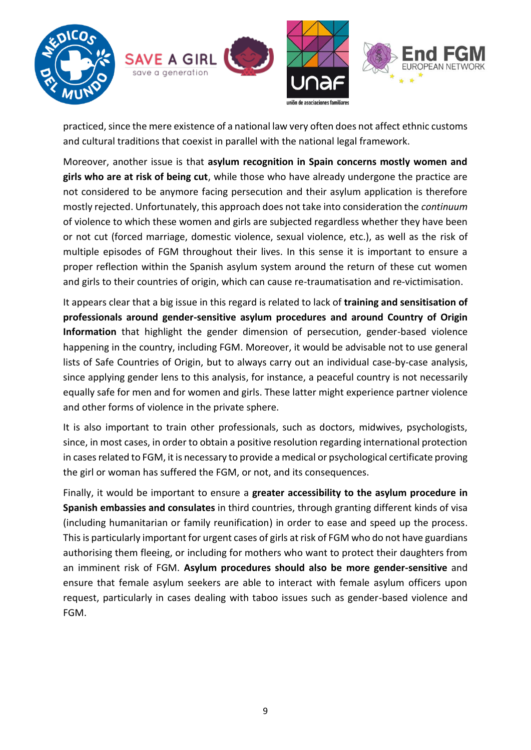

practiced, since the mere existence of a national law very often does not affect ethnic customs and cultural traditions that coexist in parallel with the national legal framework.

Moreover, another issue is that **asylum recognition in Spain concerns mostly women and girls who are at risk of being cut**, while those who have already undergone the practice are not considered to be anymore facing persecution and their asylum application is therefore mostly rejected. Unfortunately, this approach does not take into consideration the *continuum* of violence to which these women and girls are subjected regardless whether they have been or not cut (forced marriage, domestic violence, sexual violence, etc.), as well as the risk of multiple episodes of FGM throughout their lives. In this sense it is important to ensure a proper reflection within the Spanish asylum system around the return of these cut women and girls to their countries of origin, which can cause re-traumatisation and re-victimisation.

It appears clear that a big issue in this regard is related to lack of **training and sensitisation of professionals around gender-sensitive asylum procedures and around Country of Origin Information** that highlight the gender dimension of persecution, gender-based violence happening in the country, including FGM. Moreover, it would be advisable not to use general lists of Safe Countries of Origin, but to always carry out an individual case-by-case analysis, since applying gender lens to this analysis, for instance, a peaceful country is not necessarily equally safe for men and for women and girls. These latter might experience partner violence and other forms of violence in the private sphere.

It is also important to train other professionals, such as doctors, midwives, psychologists, since, in most cases, in order to obtain a positive resolution regarding international protection in cases related to FGM, it is necessary to provide a medical or psychological certificate proving the girl or woman has suffered the FGM, or not, and its consequences.

Finally, it would be important to ensure a **greater accessibility to the asylum procedure in Spanish embassies and consulates** in third countries, through granting different kinds of visa (including humanitarian or family reunification) in order to ease and speed up the process. This is particularly important for urgent cases of girls at risk of FGM who do not have guardians authorising them fleeing, or including for mothers who want to protect their daughters from an imminent risk of FGM. **Asylum procedures should also be more gender-sensitive** and ensure that female asylum seekers are able to interact with female asylum officers upon request, particularly in cases dealing with taboo issues such as gender-based violence and FGM.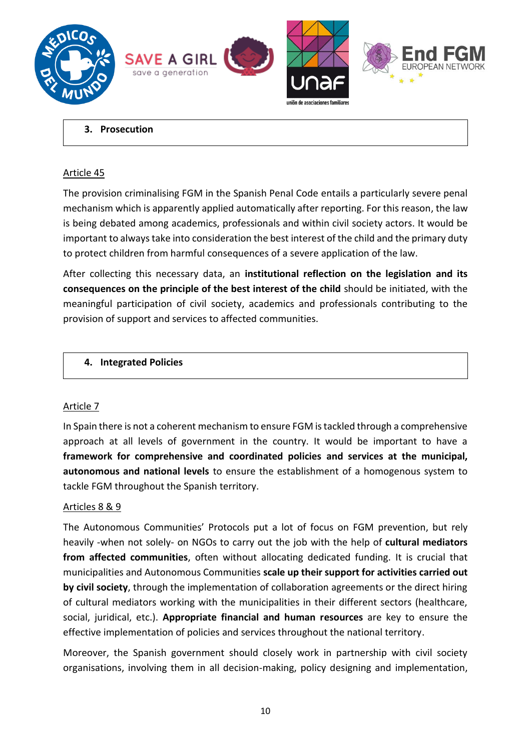

#### <span id="page-9-0"></span>**3. Prosecution**

#### Article 45

The provision criminalising FGM in the Spanish Penal Code entails a particularly severe penal mechanism which is apparently applied automatically after reporting. For this reason, the law is being debated among academics, professionals and within civil society actors. It would be important to always take into consideration the best interest of the child and the primary duty to protect children from harmful consequences of a severe application of the law.

After collecting this necessary data, an **institutional reflection on the legislation and its consequences on the principle of the best interest of the child** should be initiated, with the meaningful participation of civil society, academics and professionals contributing to the provision of support and services to affected communities.

# <span id="page-9-1"></span>**4. Integrated Policies**

# Article 7

In Spain there is not a coherent mechanism to ensure FGM is tackled through a comprehensive approach at all levels of government in the country. It would be important to have a **framework for comprehensive and coordinated policies and services at the municipal, autonomous and national levels** to ensure the establishment of a homogenous system to tackle FGM throughout the Spanish territory.

#### Articles 8 & 9

The Autonomous Communities' Protocols put a lot of focus on FGM prevention, but rely heavily -when not solely- on NGOs to carry out the job with the help of **cultural mediators from affected communities**, often without allocating dedicated funding. It is crucial that municipalities and Autonomous Communities **scale up their support for activities carried out by civil society**, through the implementation of collaboration agreements or the direct hiring of cultural mediators working with the municipalities in their different sectors (healthcare, social, juridical, etc.). **Appropriate financial and human resources** are key to ensure the effective implementation of policies and services throughout the national territory.

Moreover, the Spanish government should closely work in partnership with civil society organisations, involving them in all decision-making, policy designing and implementation,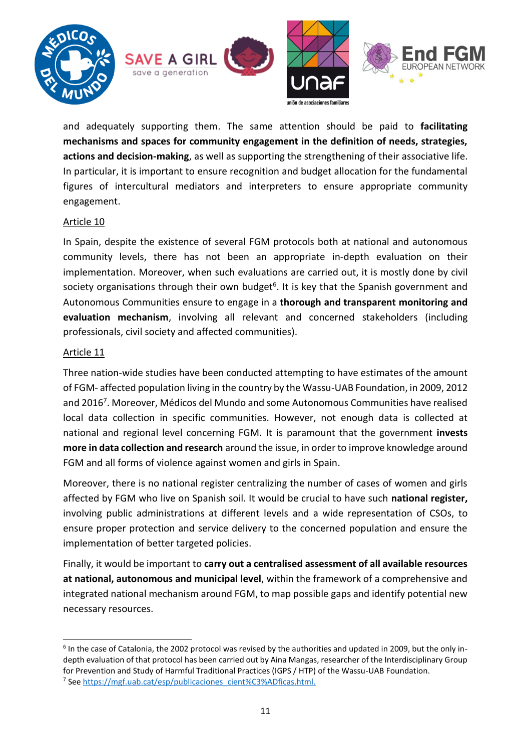

and adequately supporting them. The same attention should be paid to **facilitating mechanisms and spaces for community engagement in the definition of needs, strategies, actions and decision-making**, as well as supporting the strengthening of their associative life. In particular, it is important to ensure recognition and budget allocation for the fundamental figures of intercultural mediators and interpreters to ensure appropriate community engagement.

## Article 10

In Spain, despite the existence of several FGM protocols both at national and autonomous community levels, there has not been an appropriate in-depth evaluation on their implementation. Moreover, when such evaluations are carried out, it is mostly done by civil society organisations through their own budget<sup>6</sup>. It is key that the Spanish government and Autonomous Communities ensure to engage in a **thorough and transparent monitoring and evaluation mechanism**, involving all relevant and concerned stakeholders (including professionals, civil society and affected communities).

## Article 11

**.** 

Three nation-wide studies have been conducted attempting to have estimates of the amount of FGM- affected population living in the country by the Wassu-UAB Foundation, in 2009, 2012 and 2016 7 . Moreover, Médicos del Mundo and some Autonomous Communities have realised local data collection in specific communities. However, not enough data is collected at national and regional level concerning FGM. It is paramount that the government **invests more in data collection and research** around the issue, in order to improve knowledge around FGM and all forms of violence against women and girls in Spain.

Moreover, there is no national register centralizing the number of cases of women and girls affected by FGM who live on Spanish soil. It would be crucial to have such **national register,**  involving public administrations at different levels and a wide representation of CSOs, to ensure proper protection and service delivery to the concerned population and ensure the implementation of better targeted policies.

Finally, it would be important to **carry out a centralised assessment of all available resources at national, autonomous and municipal level**, within the framework of a comprehensive and integrated national mechanism around FGM, to map possible gaps and identify potential new necessary resources.

<sup>6</sup> In the case of Catalonia, the 2002 protocol was revised by the authorities and updated in 2009, but the only indepth evaluation of that protocol has been carried out by Aina Mangas, researcher of the Interdisciplinary Group for Prevention and Study of Harmful Traditional Practices (IGPS / HTP) of the Wassu-UAB Foundation. <sup>7</sup> See [https://mgf.uab.cat/esp/publicaciones\\_cient%C3%ADficas.html.](https://mgf.uab.cat/esp/publicaciones_cient%C3%ADficas.html)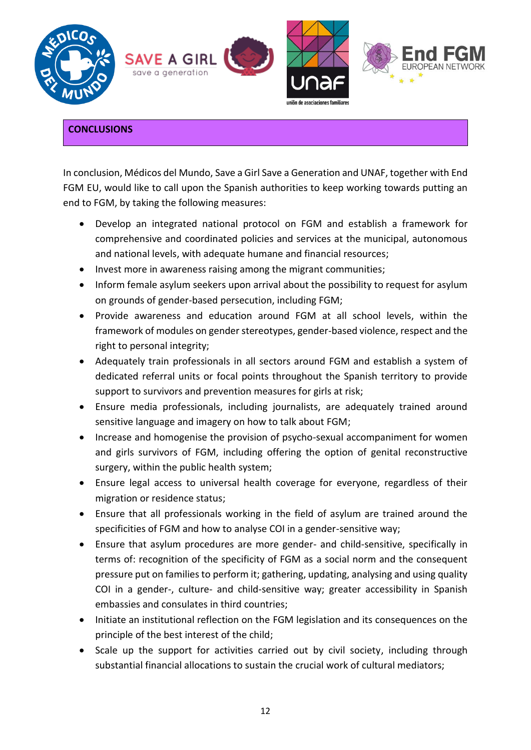

# <span id="page-11-0"></span>**CONCLUSIONS**

In conclusion, Médicos del Mundo, Save a Girl Save a Generation and UNAF, together with End FGM EU, would like to call upon the Spanish authorities to keep working towards putting an end to FGM, by taking the following measures:

- Develop an integrated national protocol on FGM and establish a framework for comprehensive and coordinated policies and services at the municipal, autonomous and national levels, with adequate humane and financial resources;
- Invest more in awareness raising among the migrant communities;
- Inform female asylum seekers upon arrival about the possibility to request for asylum on grounds of gender-based persecution, including FGM;
- Provide awareness and education around FGM at all school levels, within the framework of modules on gender stereotypes, gender-based violence, respect and the right to personal integrity;
- Adequately train professionals in all sectors around FGM and establish a system of dedicated referral units or focal points throughout the Spanish territory to provide support to survivors and prevention measures for girls at risk;
- Ensure media professionals, including journalists, are adequately trained around sensitive language and imagery on how to talk about FGM;
- Increase and homogenise the provision of psycho-sexual accompaniment for women and girls survivors of FGM, including offering the option of genital reconstructive surgery, within the public health system;
- Ensure legal access to universal health coverage for everyone, regardless of their migration or residence status;
- Ensure that all professionals working in the field of asylum are trained around the specificities of FGM and how to analyse COI in a gender-sensitive way;
- Ensure that asylum procedures are more gender- and child-sensitive, specifically in terms of: recognition of the specificity of FGM as a social norm and the consequent pressure put on families to perform it; gathering, updating, analysing and using quality COI in a gender-, culture- and child-sensitive way; greater accessibility in Spanish embassies and consulates in third countries;
- Initiate an institutional reflection on the FGM legislation and its consequences on the principle of the best interest of the child;
- Scale up the support for activities carried out by civil society, including through substantial financial allocations to sustain the crucial work of cultural mediators;